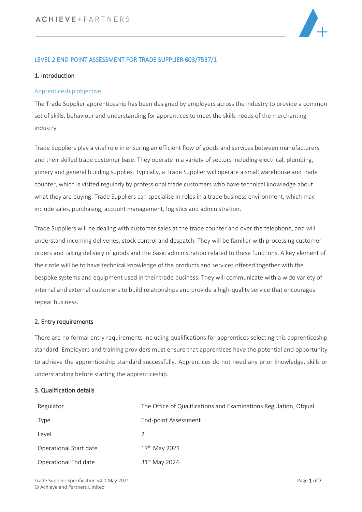

## LEVEL 2 END-POINT ASSESSMENT FOR TRADE SUPPLIER 603/7537/1

#### 1. Introduction

#### Apprenticeship objective

The Trade Supplier apprenticeship has been designed by employers across the industry to provide a common set of skills, behaviour and understanding for apprentices to meet the skills needs of the merchanting industry.

Trade Suppliers play a vital role in ensuring an efficient flow of goods and services between manufacturers and their skilled trade customer base. They operate in a variety of sectors including electrical, plumbing, joinery and general building supplies. Typically, a Trade Supplier will operate a small warehouse and trade counter, which is visited regularly by professional trade customers who have technical knowledge about what they are buying. Trade Suppliers can specialise in roles in a trade business environment, which may include sales, purchasing, account management, logistics and administration.

Trade Suppliers will be dealing with customer sales at the trade counter and over the telephone, and will understand incoming deliveries, stock control and despatch. They will be familiar with processing customer orders and taking delivery of goods and the basic administration related to these functions. A key element of their role will be to have technical knowledge of the products and services offered together with the bespoke systems and equipment used in their trade business. They will communicate with a wide variety of internal and external customers to build relationships and provide a high-quality service that encourages repeat business.

## 2. Entry requirements

There are no formal entry requirements including qualifications for apprentices selecting this apprenticeship standard. Employers and training providers must ensure that apprentices have the potential and opportunity to achieve the apprenticeship standard successfully. Apprentices do not need any prior knowledge, skills or understanding before starting the apprenticeship.

### 3. Qualification details

| Regulator              | The Office of Qualifications and Examinations Regulation, Ofqual |
|------------------------|------------------------------------------------------------------|
| Type                   | End-point Assessment                                             |
| Level                  |                                                                  |
| Operational Start date | 17th May 2021                                                    |
| Operational End date   | 31st May 2024                                                    |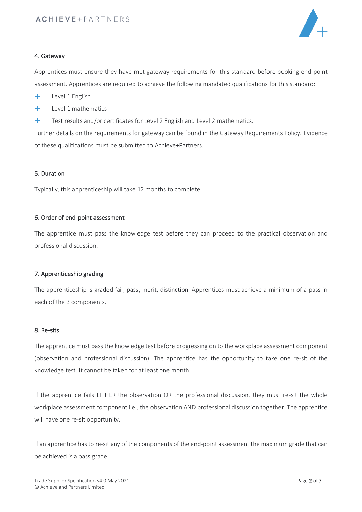

#### 4. Gateway

Apprentices must ensure they have met gateway requirements for this standard before booking end-point assessment. Apprentices are required to achieve the following mandated qualifications for this standard:

- $+$ Level 1 English
- $+$ Level 1 mathematics
- $+$ Test results and/or certificates for Level 2 English and Level 2 mathematics.

Further details on the requirements for gateway can be found in the Gateway Requirements Policy. Evidence of these qualifications must be submitted to Achieve+Partners.

### 5. Duration

Typically, this apprenticeship will take 12 months to complete.

#### 6. Order of end-point assessment

The apprentice must pass the knowledge test before they can proceed to the practical observation and professional discussion.

#### 7. Apprenticeship grading

The apprenticeship is graded fail, pass, merit, distinction. Apprentices must achieve a minimum of a pass in each of the 3 components.

#### 8. Re-sits

The apprentice must pass the knowledge test before progressing on to the workplace assessment component (observation and professional discussion). The apprentice has the opportunity to take one re-sit of the knowledge test. It cannot be taken for at least one month.

If the apprentice fails EITHER the observation OR the professional discussion, they must re-sit the whole workplace assessment component i.e., the observation AND professional discussion together. The apprentice will have one re-sit opportunity.

If an apprentice has to re-sit any of the components of the end-point assessment the maximum grade that can be achieved is a pass grade.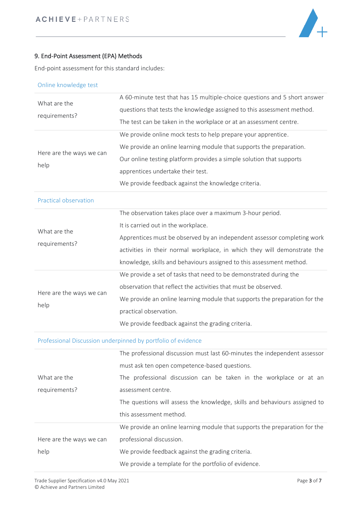

# 9. End-Point Assessment (EPA) Methods

End-point assessment for this standard includes:

| Online knowledge test            |                                                                            |
|----------------------------------|----------------------------------------------------------------------------|
| What are the                     | A 60-minute test that has 15 multiple-choice questions and 5 short answer  |
| requirements?                    | questions that tests the knowledge assigned to this assessment method.     |
|                                  | The test can be taken in the workplace or at an assessment centre.         |
|                                  | We provide online mock tests to help prepare your apprentice.              |
| Here are the ways we can         | We provide an online learning module that supports the preparation.        |
| help                             | Our online testing platform provides a simple solution that supports       |
|                                  | apprentices undertake their test.                                          |
|                                  | We provide feedback against the knowledge criteria.                        |
| <b>Practical observation</b>     |                                                                            |
|                                  | The observation takes place over a maximum 3-hour period.                  |
|                                  | It is carried out in the workplace.                                        |
| What are the<br>requirements?    | Apprentices must be observed by an independent assessor completing work    |
|                                  | activities in their normal workplace, in which they will demonstrate the   |
|                                  | knowledge, skills and behaviours assigned to this assessment method.       |
|                                  | We provide a set of tasks that need to be demonstrated during the          |
|                                  | observation that reflect the activities that must be observed.             |
| Here are the ways we can<br>help | We provide an online learning module that supports the preparation for the |
|                                  | practical observation.                                                     |
|                                  | We provide feedback against the grading criteria.                          |
|                                  | Professional Discussion underpinned by portfolio of evidence               |
|                                  | The professional discussion must last 60-minutes the independent assessor  |
|                                  | must ask ten open competence-based questions.                              |
| What are the                     | The professional discussion can be taken in the workplace or at an         |
| requirements?                    | assessment centre.                                                         |
|                                  | The questions will assess the knowledge, skills and behaviours assigned to |
|                                  | this assessment method.                                                    |
|                                  | We provide an online learning module that supports the preparation for the |
| Here are the ways we can         | professional discussion.                                                   |
| help                             | We provide feedback against the grading criteria.                          |
|                                  | We provide a template for the portfolio of evidence.                       |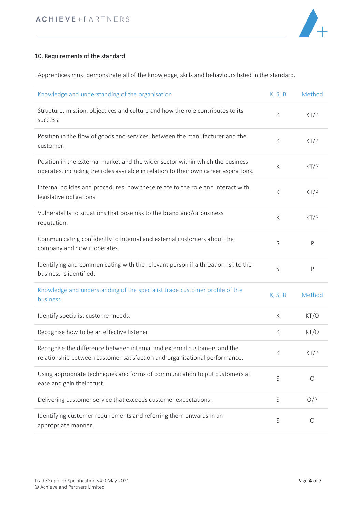

## 10. Requirements of the standard

Apprentices must demonstrate all of the knowledge, skills and behaviours listed in the standard.

| Knowledge and understanding of the organisation                                                                                                                        | K, S, B | Method  |
|------------------------------------------------------------------------------------------------------------------------------------------------------------------------|---------|---------|
| Structure, mission, objectives and culture and how the role contributes to its<br>success.                                                                             | К       | KT/P    |
| Position in the flow of goods and services, between the manufacturer and the<br>customer.                                                                              | К       | KT/P    |
| Position in the external market and the wider sector within which the business<br>operates, including the roles available in relation to their own career aspirations. | К       | KT/P    |
| Internal policies and procedures, how these relate to the role and interact with<br>legislative obligations.                                                           | К       | KT/P    |
| Vulnerability to situations that pose risk to the brand and/or business<br>reputation.                                                                                 | К       | KT/P    |
| Communicating confidently to internal and external customers about the<br>company and how it operates.                                                                 | S       | P       |
| Identifying and communicating with the relevant person if a threat or risk to the<br>business is identified.                                                           | S       | P       |
| Knowledge and understanding of the specialist trade customer profile of the<br>business                                                                                | K, S, B | Method  |
| Identify specialist customer needs.                                                                                                                                    | K       | KT/O    |
| Recognise how to be an effective listener.                                                                                                                             | К       | KT/O    |
| Recognise the difference between internal and external customers and the<br>relationship between customer satisfaction and organisational performance.                 | К       | KT/P    |
| Using appropriate techniques and forms of communication to put customers at<br>ease and gain their trust.                                                              | S       | $\circ$ |
| Delivering customer service that exceeds customer expectations.                                                                                                        | S       | O/P     |
| Identifying customer requirements and referring them onwards in an<br>appropriate manner.                                                                              | S       | $\circ$ |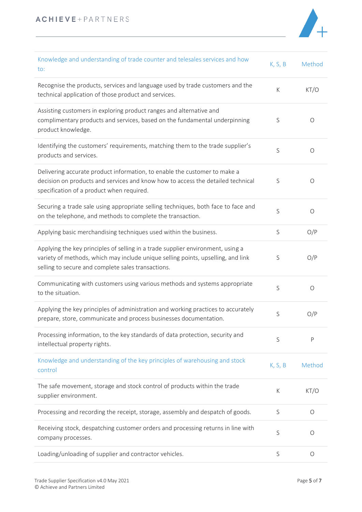

| Knowledge and understanding of trade counter and telesales services and how<br>to:                                                                                                                                        | K, S, B | Method  |
|---------------------------------------------------------------------------------------------------------------------------------------------------------------------------------------------------------------------------|---------|---------|
| Recognise the products, services and language used by trade customers and the<br>technical application of those product and services.                                                                                     | К       | KT/O    |
| Assisting customers in exploring product ranges and alternative and<br>complimentary products and services, based on the fundamental underpinning<br>product knowledge.                                                   | S       | $\circ$ |
| Identifying the customers' requirements, matching them to the trade supplier's<br>products and services.                                                                                                                  | S       | $\circ$ |
| Delivering accurate product information, to enable the customer to make a<br>decision on products and services and know how to access the detailed technical<br>specification of a product when required.                 | S       | $\circ$ |
| Securing a trade sale using appropriate selling techniques, both face to face and<br>on the telephone, and methods to complete the transaction.                                                                           | S       | $\circ$ |
| Applying basic merchandising techniques used within the business.                                                                                                                                                         | S       | O/P     |
| Applying the key principles of selling in a trade supplier environment, using a<br>variety of methods, which may include unique selling points, upselling, and link<br>selling to secure and complete sales transactions. | S       | O/P     |
| Communicating with customers using various methods and systems appropriate<br>to the situation.                                                                                                                           | S       | $\circ$ |
| Applying the key principles of administration and working practices to accurately<br>prepare, store, communicate and process businesses documentation.                                                                    | S       | O/P     |
| Processing information, to the key standards of data protection, security and<br>intellectual property rights.                                                                                                            | S       | P       |
| Knowledge and understanding of the key principles of warehousing and stock<br>control                                                                                                                                     | K, S, B | Method  |
| The safe movement, storage and stock control of products within the trade<br>supplier environment.                                                                                                                        | К       | KT/O    |
| Processing and recording the receipt, storage, assembly and despatch of goods.                                                                                                                                            | S       | $\circ$ |
| Receiving stock, despatching customer orders and processing returns in line with<br>company processes.                                                                                                                    | S       | $\circ$ |
| Loading/unloading of supplier and contractor vehicles.                                                                                                                                                                    | S       | 0       |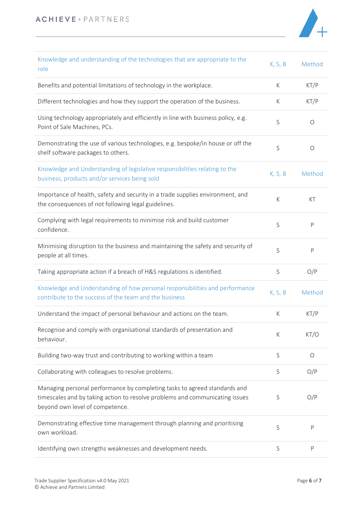

| Knowledge and understanding of the technologies that are appropriate to the<br>role                                                                                                          | K, S, B     | Method      |
|----------------------------------------------------------------------------------------------------------------------------------------------------------------------------------------------|-------------|-------------|
| Benefits and potential limitations of technology in the workplace.                                                                                                                           | К           | KT/P        |
| Different technologies and how they support the operation of the business.                                                                                                                   | K           | KT/P        |
| Using technology appropriately and efficiently in line with business policy, e.g.<br>Point of Sale Machines, PCs.                                                                            | S           | O           |
| Demonstrating the use of various technologies, e.g. bespoke/in house or off the<br>shelf software packages to others.                                                                        | S           | O           |
| Knowledge and Understanding of legislative responsibilities relating to the<br>business, products and/or services being sold                                                                 | K, S, B     | Method      |
| Importance of health, safety and security in a trade supplies environment, and<br>the consequences of not following legal guidelines.                                                        | К           | KT          |
| Complying with legal requirements to minimise risk and build customer<br>confidence.                                                                                                         | S           | P           |
| Minimising disruption to the business and maintaining the safety and security of<br>people at all times.                                                                                     | S           | P           |
| Taking appropriate action if a breach of H&S regulations is identified.                                                                                                                      | $\mathsf S$ | O/P         |
| Knowledge and Understanding of how personal responsibilities and performance<br>contribute to the success of the team and the business                                                       | K, S, B     | Method      |
| Understand the impact of personal behaviour and actions on the team.                                                                                                                         | К           | KT/P        |
| Recognise and comply with organisational standards of presentation and<br>behaviour.                                                                                                         | К           | KT/O        |
| Building two-way trust and contributing to working within a team                                                                                                                             | S           | $\circ$     |
| Collaborating with colleagues to resolve problems.                                                                                                                                           | S           | O/P         |
| Managing personal performance by completing tasks to agreed standards and<br>timescales and by taking action to resolve problems and communicating issues<br>beyond own level of competence. | $\mathsf S$ | O/P         |
| Demonstrating effective time management through planning and prioritising<br>own workload.                                                                                                   | $\mathsf S$ | P           |
| Identifying own strengths weaknesses and development needs.                                                                                                                                  | $\mathsf S$ | $\mathsf P$ |